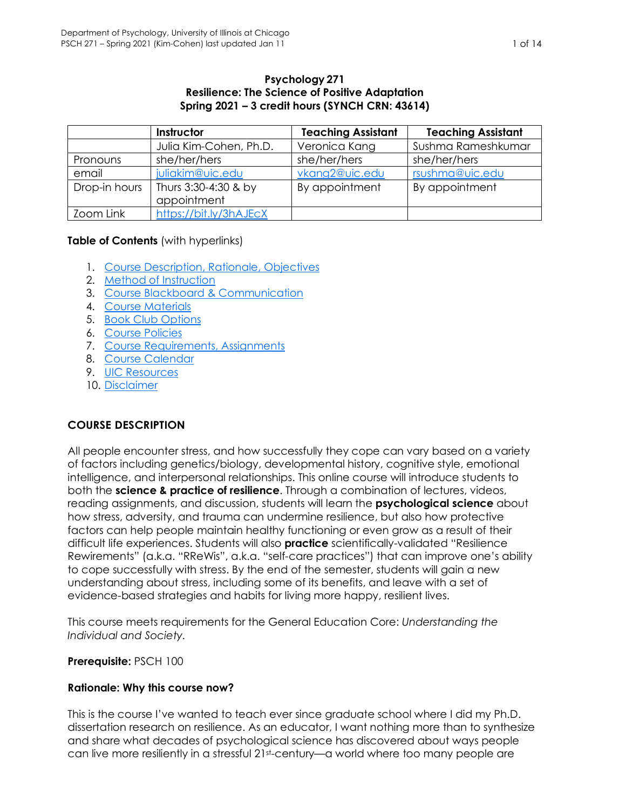### **Psychology 271 Resilience: The Science of Positive Adaptation Spring 2021 – 3 credit hours (SYNCH CRN: 43614)**

|               | Instructor             | <b>Teaching Assistant</b> | <b>Teaching Assistant</b> |
|---------------|------------------------|---------------------------|---------------------------|
|               | Julia Kim-Cohen, Ph.D. | Veronica Kang             | Sushma Rameshkumar        |
| Pronouns      | she/her/hers           | she/her/hers              | she/her/hers              |
| email         | juliakim@uic.edu       | vkang2@uic.edu            | rsushma@uic.edu           |
| Drop-in hours | Thurs 3:30-4:30 & by   | By appointment            | By appointment            |
|               | appointment            |                           |                           |
| Zoom Link     | https://bit.ly/3hAJEcX |                           |                           |

# **Table of Contents** (with hyperlinks)

- 1. Course Description, Rationale, Objectives
- 2. Method of Instruction
- 3. Course Blackboard & Communication
- 4. Course Materials
- 5. Book Club Options
- 6. Course Policies
- 7. Course Requirements, Assignments
- 8. Course Calendar
- 9. UIC Resources
- 10. Disclaimer

# **COURSE DESCRIPTION**

All people encounter stress, and how successfully they cope can vary based on a variety of factors including genetics/biology, developmental history, cognitive style, emotional intelligence, and interpersonal relationships. This online course will introduce students to both the **science & practice of resilience**. Through a combination of lectures, videos, reading assignments, and discussion, students will learn the **psychological science** about how stress, adversity, and trauma can undermine resilience, but also how protective factors can help people maintain healthy functioning or even grow as a result of their difficult life experiences. Students will also **practice** scientifically-validated "Resilience Rewirements" (a.k.a. "RReWis", a.k.a. "self-care practices") that can improve one's ability to cope successfully with stress. By the end of the semester, students will gain a new understanding about stress, including some of its benefits, and leave with a set of evidence-based strategies and habits for living more happy, resilient lives.

This course meets requirements for the General Education Core: *Understanding the Individual and Society.*

#### **Prerequisite:** PSCH 100

# **Rationale: Why this course now?**

This is the course I've wanted to teach ever since graduate school where I did my Ph.D. dissertation research on resilience. As an educator, I want nothing more than to synthesize and share what decades of psychological science has discovered about ways people can live more resiliently in a stressful 21st-century—a world where too many people are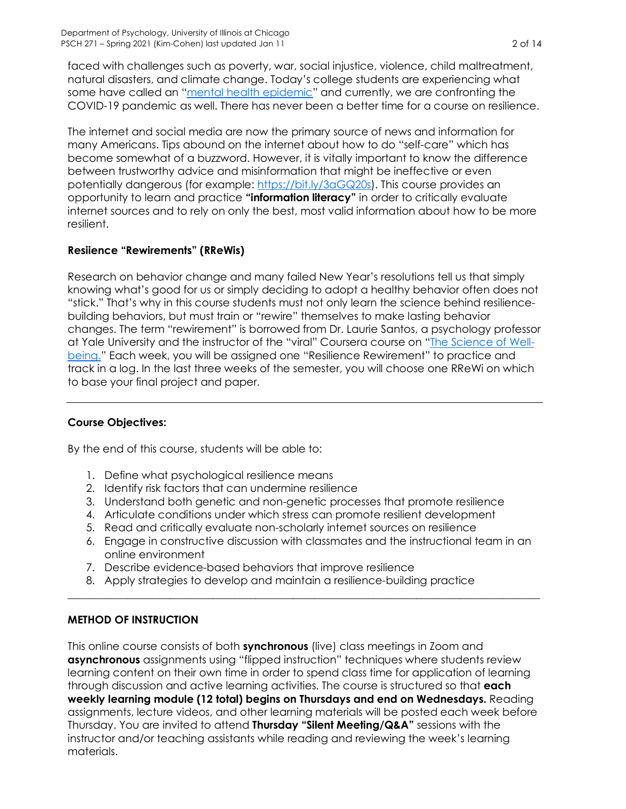faced with challenges such as poverty, war, social injustice, violence, child maltreatment, natural disasters, and climate change. Today's college students are experiencing what some have called an "mental health epidemic" and currently, we are confronting the COVID-19 pandemic as well. There has never been a better time for a course on resilience.

The internet and social media are now the primary source of news and information for many Americans. Tips abound on the internet about how to do "self-care" which has become somewhat of a buzzword. However, it is vitally important to know the difference between trustworthy advice and misinformation that might be ineffective or even potentially dangerous (for example: https://bit.ly/3aGQ20s). This course provides an opportunity to learn and practice **"information literacy"** in order to critically evaluate internet sources and to rely on only the best, most valid information about how to be more resilient.

# **Resiience "Rewirements" (RReWis)**

Research on behavior change and many failed New Year's resolutions tell us that simply knowing what's good for us or simply deciding to adopt a healthy behavior often does not "stick." That's why in this course students must not only learn the science behind resiliencebuilding behaviors, but must train or "rewire" themselves to make lasting behavior changes. The term "rewirement" is borrowed from Dr. Laurie Santos, a psychology professor at Yale University and the instructor of the "viral" Coursera course on "The Science of Wellbeing." Each week, you will be assigned one "Resilience Rewirement" to practice and track in a log. In the last three weeks of the semester, you will choose one RReWi on which to base your final project and paper.

# **Course Objectives:**

By the end of this course, students will be able to:

- 1. Define what psychological resilience means
- 2. Identify risk factors that can undermine resilience
- 3. Understand both genetic and non-genetic processes that promote resilience
- 4. Articulate conditions under which stress can promote resilient development
- 5. Read and critically evaluate non-scholarly internet sources on resilience
- 6. Engage in constructive discussion with classmates and the instructional team in an online environment

 $\_$  , and the state of the state of the state of the state of the state of the state of the state of the state of the state of the state of the state of the state of the state of the state of the state of the state of the

- 7. Describe evidence-based behaviors that improve resilience
- 8. Apply strategies to develop and maintain a resilience-building practice

# **METHOD OF INSTRUCTION**

This online course consists of both **synchronous** (live) class meetings in Zoom and **asynchronous** assignments using "flipped instruction" techniques where students review learning content on their own time in order to spend class time for application of learning through discussion and active learning activities. The course is structured so that **each weekly learning module (12 total) begins on Thursdays and end on Wednesdays.** Reading assignments, lecture videos, and other learning materials will be posted each week before Thursday. You are invited to attend **Thursday "Silent Meeting/Q&A"** sessions with the instructor and/or teaching assistants while reading and reviewing the week's learning materials.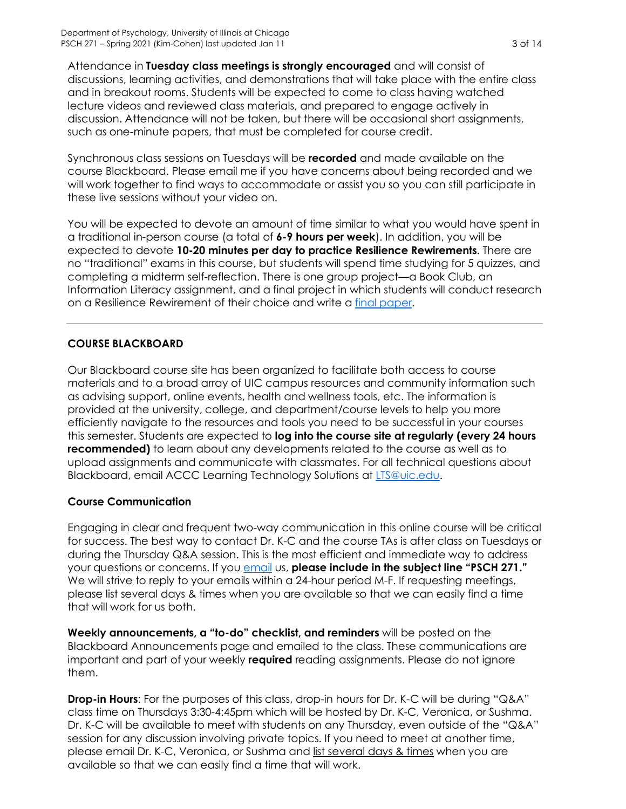Attendance in **Tuesday class meetings is strongly encouraged** and will consist of discussions, learning activities, and demonstrations that will take place with the entire class and in breakout rooms. Students will be expected to come to class having watched lecture videos and reviewed class materials, and prepared to engage actively in discussion. Attendance will not be taken, but there will be occasional short assignments, such as one-minute papers, that must be completed for course credit.

Synchronous class sessions on Tuesdays will be **recorded** and made available on the course Blackboard. Please email me if you have concerns about being recorded and we will work together to find ways to accommodate or assist you so you can still participate in these live sessions without your video on.

You will be expected to devote an amount of time similar to what you would have spent in a traditional in-person course (a total of **6-9 hours per week**). In addition, you will be expected to devote **10-20 minutes per day to practice Resilience Rewirements**. There are no "traditional" exams in this course, but students will spend time studying for 5 quizzes, and completing a midterm self-reflection. There is one group project—a Book Club, an Information Literacy assignment, and a final project in which students will conduct research on a Resilience Rewirement of their choice and write a final paper.

# **COURSE BLACKBOARD**

Our Blackboard course site has been organized to facilitate both access to course materials and to a broad array of UIC campus resources and community information such as advising support, online events, health and wellness tools, etc. The information is provided at the university, college, and department/course levels to help you more efficiently navigate to the resources and tools you need to be successful in your courses this semester. Students are expected to **log into the course site at regularly (every 24 hours recommended)** to learn about any developments related to the course as well as to upload assignments and communicate with classmates. For all technical questions about Blackboard, email ACCC Learning Technology Solutions at LTS@uic.edu.

# **Course Communication**

Engaging in clear and frequent two-way communication in this online course will be critical for success. The best way to contact Dr. K-C and the course TAs is after class on Tuesdays or during the Thursday Q&A session. This is the most efficient and immediate way to address your questions or concerns. If you **email us, please include in the subject line "PSCH 271."** We will strive to reply to your emails within a 24-hour period M-F. If requesting meetings, please list several days & times when you are available so that we can easily find a time that will work for us both.

**Weekly announcements, a "to-do" checklist, and reminders** will be posted on the Blackboard Announcements page and emailed to the class. These communications are important and part of your weekly **required** reading assignments. Please do not ignore them.

**Drop-in Hours**: For the purposes of this class, drop-in hours for Dr. K-C will be during "Q&A" class time on Thursdays 3:30-4:45pm which will be hosted by Dr. K-C, Veronica, or Sushma. Dr. K-C will be available to meet with students on any Thursday, even outside of the "Q&A" session for any discussion involving private topics. If you need to meet at another time, please email Dr. K-C, Veronica, or Sushma and list several days & times when you are available so that we can easily find a time that will work.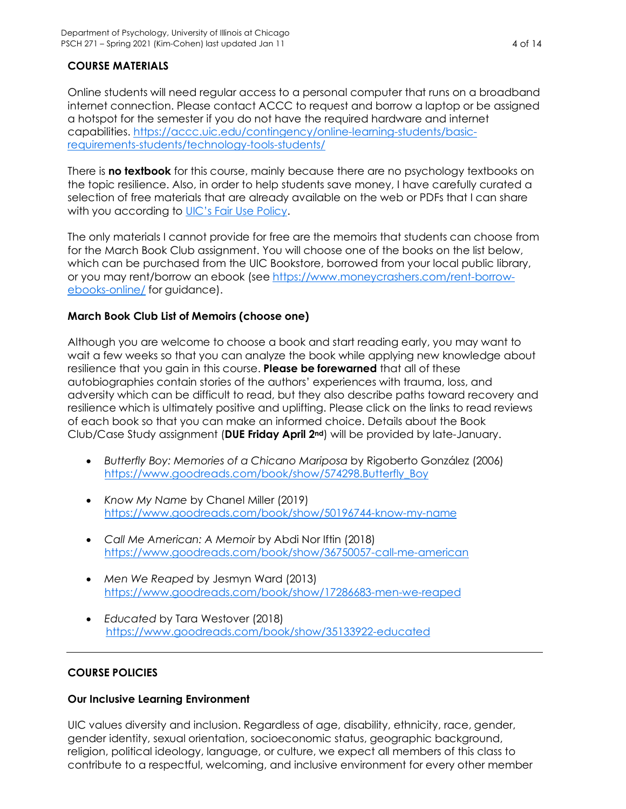# **COURSE MATERIALS**

Online students will need regular access to a personal computer that runs on a broadband internet connection. Please contact ACCC to request and borrow a laptop or be assigned a hotspot for the semester if you do not have the required hardware and internet capabilities. https://accc.uic.edu/contingency/online-learning-students/basicrequirements-students/technology-tools-students/

There is **no textbook** for this course, mainly because there are no psychology textbooks on the topic resilience. Also, in order to help students save money, I have carefully curated a selection of free materials that are already available on the web or PDFs that I can share with you according to UIC's Fair Use Policy.

The only materials I cannot provide for free are the memoirs that students can choose from for the March Book Club assignment. You will choose one of the books on the list below, which can be purchased from the UIC Bookstore, borrowed from your local public library, or you may rent/borrow an ebook (see https://www.moneycrashers.com/rent-borrowebooks-online/ for guidance).

# **March Book Club List of Memoirs (choose one)**

Although you are welcome to choose a book and start reading early, you may want to wait a few weeks so that you can analyze the book while applying new knowledge about resilience that you gain in this course. **Please be forewarned** that all of these autobiographies contain stories of the authors' experiences with trauma, loss, and adversity which can be difficult to read, but they also describe paths toward recovery and resilience which is ultimately positive and uplifting. Please click on the links to read reviews of each book so that you can make an informed choice. Details about the Book Club/Case Study assignment (**DUE Friday April 2nd**) will be provided by late-January.

- *Butterfly Boy: Memories of a Chicano Mariposa* by Rigoberto González (2006) https://www.goodreads.com/book/show/574298.Butterfly\_Boy
- *Know My Name* by Chanel Miller (2019) https://www.goodreads.com/book/show/50196744-know-my-name
- *Call Me American: A Memoir* by Abdi Nor Iftin (2018) https://www.goodreads.com/book/show/36750057-call-me-american
- *Men We Reaped* by Jesmyn Ward (2013) https://www.goodreads.com/book/show/17286683-men-we-reaped
- *Educated* by Tara Westover (2018) https://www.goodreads.com/book/show/35133922-educated

#### **COURSE POLICIES**

#### **Our Inclusive Learning Environment**

UIC values diversity and inclusion. Regardless of age, disability, ethnicity, race, gender, gender identity, sexual orientation, socioeconomic status, geographic background, religion, political ideology, language, or culture, we expect all members of this class to contribute to a respectful, welcoming, and inclusive environment for every other member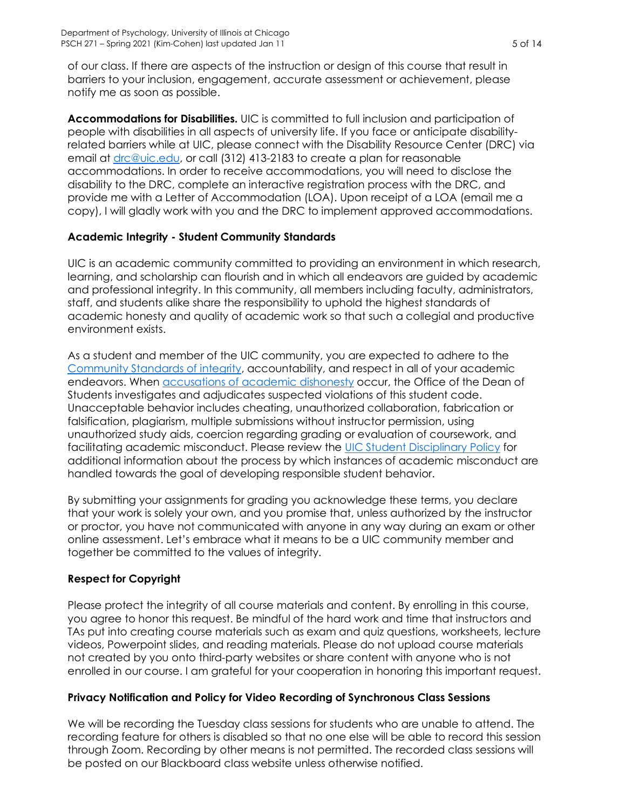of our class. If there are aspects of the instruction or design of this course that result in barriers to your inclusion, engagement, accurate assessment or achievement, please notify me as soon as possible.

**Accommodations for Disabilities.** UIC is committed to full inclusion and participation of people with disabilities in all aspects of university life. If you face or anticipate disabilityrelated barriers while at UIC, please connect with the Disability Resource Center (DRC) via email at drc@uic.edu, or call (312) 413-2183 to create a plan for reasonable accommodations. In order to receive accommodations, you will need to disclose the disability to the DRC, complete an interactive registration process with the DRC, and provide me with a Letter of Accommodation (LOA). Upon receipt of a LOA (email me a copy), I will gladly work with you and the DRC to implement approved accommodations.

# **Academic Integrity - Student Community Standards**

UIC is an academic community committed to providing an environment in which research, learning, and scholarship can flourish and in which all endeavors are guided by academic and professional integrity. In this community, all members including faculty, administrators, staff, and students alike share the responsibility to uphold the highest standards of academic honesty and quality of academic work so that such a collegial and productive environment exists.

As a student and member of the UIC community, you are expected to adhere to the Community Standards of integrity, accountability, and respect in all of your academic endeavors. When **accusations** of academic dishonesty occur, the Office of the Dean of Students investigates and adjudicates suspected violations of this student code. Unacceptable behavior includes cheating, unauthorized collaboration, fabrication or falsification, plagiarism, multiple submissions without instructor permission, using unauthorized study aids, coercion regarding grading or evaluation of coursework, and facilitating academic misconduct. Please review the UIC Student Disciplinary Policy for additional information about the process by which instances of academic misconduct are handled towards the goal of developing responsible student behavior.

By submitting your assignments for grading you acknowledge these terms, you declare that your work is solely your own, and you promise that, unless authorized by the instructor or proctor, you have not communicated with anyone in any way during an exam or other online assessment. Let's embrace what it means to be a UIC community member and together be committed to the values of integrity.

# **Respect for Copyright**

Please protect the integrity of all course materials and content. By enrolling in this course, you agree to honor this request. Be mindful of the hard work and time that instructors and TAs put into creating course materials such as exam and quiz questions, worksheets, lecture videos, Powerpoint slides, and reading materials. Please do not upload course materials not created by you onto third-party websites or share content with anyone who is not enrolled in our course. I am grateful for your cooperation in honoring this important request.

# **Privacy Notification and Policy for Video Recording of Synchronous Class Sessions**

We will be recording the Tuesday class sessions for students who are unable to attend. The recording feature for others is disabled so that no one else will be able to record this session through Zoom. Recording by other means is not permitted. The recorded class sessions will be posted on our Blackboard class website unless otherwise notified.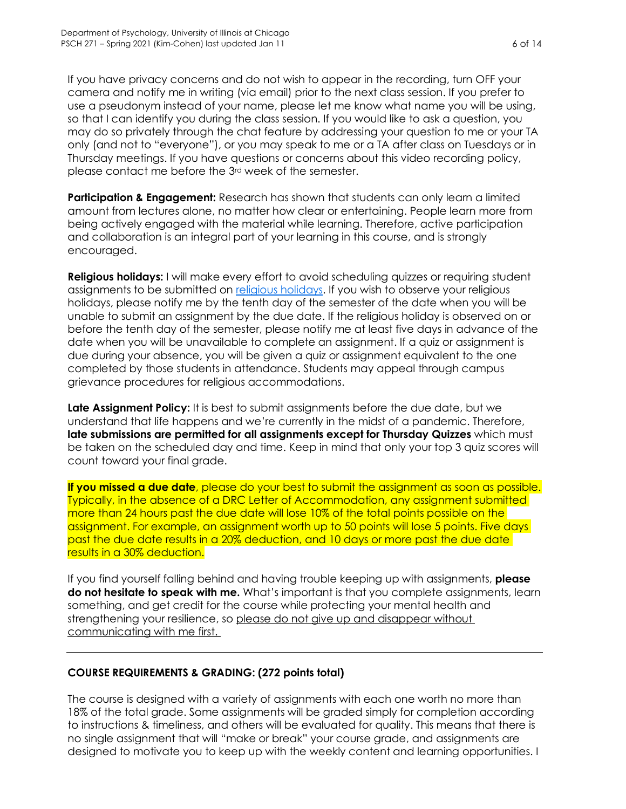If you have privacy concerns and do not wish to appear in the recording, turn OFF your camera and notify me in writing (via email) prior to the next class session. If you prefer to use a pseudonym instead of your name, please let me know what name you will be using, so that I can identify you during the class session. If you would like to ask a question, you may do so privately through the chat feature by addressing your question to me or your TA only (and not to "everyone"), or you may speak to me or a TA after class on Tuesdays or in Thursday meetings. If you have questions or concerns about this video recording policy, please contact me before the 3rd week of the semester.

**Participation & Engagement:** Research has shown that students can only learn a limited amount from lectures alone, no matter how clear or entertaining. People learn more from being actively engaged with the material while learning. Therefore, active participation and collaboration is an integral part of your learning in this course, and is strongly encouraged.

**Religious holidays:** I will make every effort to avoid scheduling quizzes or requiring student assignments to be submitted on religious holidays. If you wish to observe your religious holidays, please notify me by the tenth day of the semester of the date when you will be unable to submit an assignment by the due date. If the religious holiday is observed on or before the tenth day of the semester, please notify me at least five days in advance of the date when you will be unavailable to complete an assignment. If a quiz or assignment is due during your absence, you will be given a quiz or assignment equivalent to the one completed by those students in attendance. Students may appeal through campus grievance procedures for religious accommodations.

**Late Assignment Policy:** It is best to submit assignments before the due date, but we understand that life happens and we're currently in the midst of a pandemic. Therefore, **late submissions are permitted for all assignments except for Thursday Quizzes** which must be taken on the scheduled day and time. Keep in mind that only your top 3 quiz scores will count toward your final grade.

**If you missed a due date**, please do your best to submit the assignment as soon as possible. Typically, in the absence of a DRC Letter of Accommodation, any assignment submitted more than 24 hours past the due date will lose 10% of the total points possible on the assignment. For example, an assignment worth up to 50 points will lose 5 points. Five days past the due date results in a 20% deduction, and 10 days or more past the due date results in a 30% deduction.

If you find yourself falling behind and having trouble keeping up with assignments, **please do not hesitate to speak with me.** What's important is that you complete assignments, learn something, and get credit for the course while protecting your mental health and strengthening your resilience, so please do not give up and disappear without communicating with me first.

# **COURSE REQUIREMENTS & GRADING: (272 points total)**

The course is designed with a variety of assignments with each one worth no more than 18% of the total grade. Some assignments will be graded simply for completion according to instructions & timeliness, and others will be evaluated for quality. This means that there is no single assignment that will "make or break" your course grade, and assignments are designed to motivate you to keep up with the weekly content and learning opportunities. I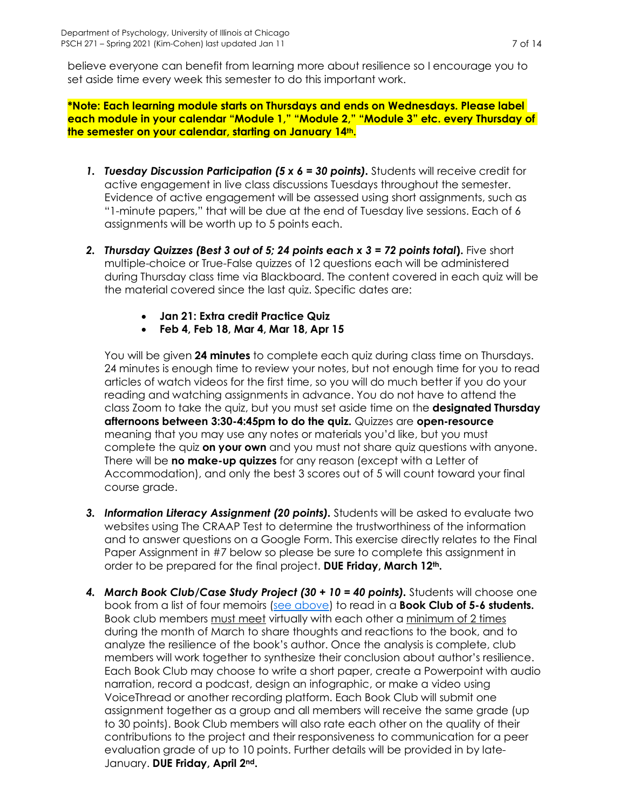believe everyone can benefit from learning more about resilience so I encourage you to set aside time every week this semester to do this important work.

**\*Note: Each learning module starts on Thursdays and ends on Wednesdays. Please label each module in your calendar "Module 1," "Module 2," "Module 3" etc. every Thursday of the semester on your calendar, starting on January 14th.**

- *1. Tuesday Discussion Participation (5 x 6 = 30 points).* Students will receive credit for active engagement in live class discussions Tuesdays throughout the semester. Evidence of active engagement will be assessed using short assignments, such as "1-minute papers," that will be due at the end of Tuesday live sessions. Each of 6 assignments will be worth up to 5 points each.
- *2. Thursday Quizzes (Best 3 out of 5; 24 points each x 3 = 72 points total***).** Five short multiple-choice or True-False quizzes of 12 questions each will be administered during Thursday class time via Blackboard. The content covered in each quiz will be the material covered since the last quiz. Specific dates are:
	- **Jan 21: Extra credit Practice Quiz**
	- **Feb 4, Feb 18, Mar 4, Mar 18, Apr 15**

You will be given **24 minutes** to complete each quiz during class time on Thursdays. 24 minutes is enough time to review your notes, but not enough time for you to read articles of watch videos for the first time, so you will do much better if you do your reading and watching assignments in advance. You do not have to attend the class Zoom to take the quiz, but you must set aside time on the **designated Thursday afternoons between 3:30-4:45pm to do the quiz.** Quizzes are **open-resource** meaning that you may use any notes or materials you'd like, but you must complete the quiz **on your own** and you must not share quiz questions with anyone. There will be **no make-up quizzes** for any reason (except with a Letter of Accommodation), and only the best 3 scores out of 5 will count toward your final course grade.

- *3. Information Literacy Assignment (20 points).* Students will be asked to evaluate two websites using The CRAAP Test to determine the trustworthiness of the information and to answer questions on a Google Form. This exercise directly relates to the Final Paper Assignment in #7 below so please be sure to complete this assignment in order to be prepared for the final project. **DUE Friday, March 12th.**
- *4. March Book Club/Case Study Project (30 + 10 = 40 points).* Students will choose one book from a list of four memoirs (see above) to read in a **Book Club of 5-6 students.** Book club members must meet virtually with each other a minimum of 2 times during the month of March to share thoughts and reactions to the book, and to analyze the resilience of the book's author. Once the analysis is complete, club members will work together to synthesize their conclusion about author's resilience. Each Book Club may choose to write a short paper, create a Powerpoint with audio narration, record a podcast, design an infographic, or make a video using VoiceThread or another recording platform. Each Book Club will submit one assignment together as a group and all members will receive the same grade (up to 30 points). Book Club members will also rate each other on the quality of their contributions to the project and their responsiveness to communication for a peer evaluation grade of up to 10 points. Further details will be provided in by late-January. **DUE Friday, April 2nd.**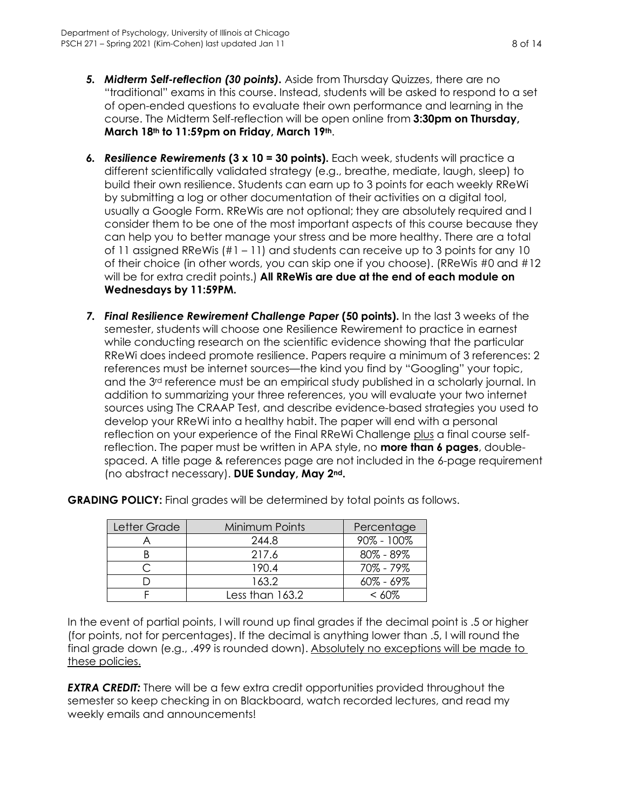- *5. Midterm Self-reflection (30 points).* Aside from Thursday Quizzes, there are no "traditional" exams in this course. Instead, students will be asked to respond to a set of open-ended questions to evaluate their own performance and learning in the course. The Midterm Self-reflection will be open online from **3:30pm on Thursday, March 18th to 11:59pm on Friday, March 19th**.
- *6. Resilience Rewirements* **(3 x 10 = 30 points).** Each week, students will practice a different scientifically validated strategy (e.g., breathe, mediate, laugh, sleep) to build their own resilience. Students can earn up to 3 points for each weekly RReWi by submitting a log or other documentation of their activities on a digital tool, usually a Google Form. RReWis are not optional; they are absolutely required and I consider them to be one of the most important aspects of this course because they can help you to better manage your stress and be more healthy. There are a total of 11 assigned RReWis (#1 – 11) and students can receive up to 3 points for any 10 of their choice (in other words, you can skip one if you choose). (RReWis #0 and #12 will be for extra credit points.) **All RReWis are due at the end of each module on Wednesdays by 11:59PM.**
- *7. Final Resilience Rewirement Challenge Paper* **(50 points).** In the last 3 weeks of the semester, students will choose one Resilience Rewirement to practice in earnest while conducting research on the scientific evidence showing that the particular RReWi does indeed promote resilience. Papers require a minimum of 3 references: 2 references must be internet sources—the kind you find by "Googling" your topic, and the 3<sup>rd</sup> reference must be an empirical study published in a scholarly journal. In addition to summarizing your three references, you will evaluate your two internet sources using The CRAAP Test, and describe evidence-based strategies you used to develop your RReWi into a healthy habit. The paper will end with a personal reflection on your experience of the Final RReWi Challenge plus a final course selfreflection. The paper must be written in APA style, no **more than 6 pages**, doublespaced. A title page & references page are not included in the 6-page requirement (no abstract necessary). **DUE Sunday, May 2nd.**

| Letter Grade | Minimum Points  | Percentage     |
|--------------|-----------------|----------------|
|              | 244.8           | $90\% - 100\%$ |
|              | 217.6           | $80\% - 89\%$  |
|              | 190.4           | 70% - 79%      |
|              | 163.2           | $60\% - 69\%$  |
|              | Less than 163.2 | $<$ 60%        |

**GRADING POLICY:** Final grades will be determined by total points as follows.

In the event of partial points, I will round up final grades if the decimal point is .5 or higher (for points, not for percentages). If the decimal is anything lower than .5, I will round the final grade down (e.g., .499 is rounded down). Absolutely no exceptions will be made to these policies.

*EXTRA CREDIT:* There will be a few extra credit opportunities provided throughout the semester so keep checking in on Blackboard, watch recorded lectures, and read my weekly emails and announcements!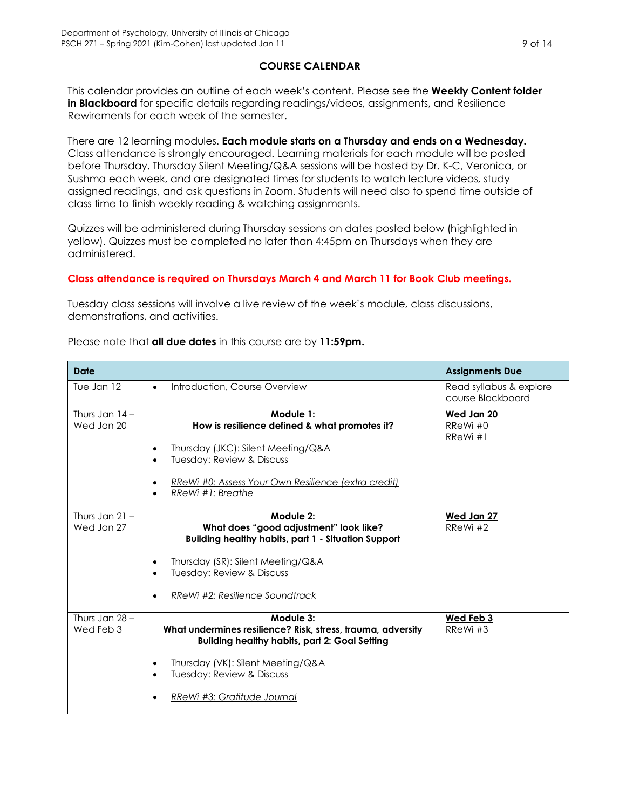# **COURSE CALENDAR**

This calendar provides an outline of each week's content. Please see the **Weekly Content folder in Blackboard** for specific details regarding readings/videos, assignments, and Resilience Rewirements for each week of the semester.

There are 12 learning modules. **Each module starts on a Thursday and ends on a Wednesday.**  Class attendance is strongly encouraged. Learning materials for each module will be posted before Thursday. Thursday Silent Meeting/Q&A sessions will be hosted by Dr. K-C, Veronica, or Sushma each week, and are designated times for students to watch lecture videos, study assigned readings, and ask questions in Zoom. Students will need also to spend time outside of class time to finish weekly reading & watching assignments.

Quizzes will be administered during Thursday sessions on dates posted below (highlighted in yellow). Quizzes must be completed no later than 4:45pm on Thursdays when they are administered.

### **Class attendance is required on Thursdays March 4 and March 11 for Book Club meetings.**

Tuesday class sessions will involve a live review of the week's module, class discussions, demonstrations, and activities.

| Date                           |                                                                                                                                  | <b>Assignments Due</b>                       |
|--------------------------------|----------------------------------------------------------------------------------------------------------------------------------|----------------------------------------------|
| Tue Jan 12                     | Introduction, Course Overview<br>$\bullet$                                                                                       | Read syllabus & explore<br>course Blackboard |
| Thurs Jan $14-$<br>Wed Jan 20  | Module 1:<br>How is resilience defined & what promotes it?                                                                       | Wed Jan 20<br>RReWi#0<br>$R$ R $e$ Wi $#1$   |
|                                | Thursday (JKC): Silent Meeting/Q&A<br>٠<br>Tuesday: Review & Discuss                                                             |                                              |
|                                | RReWi #0: Assess Your Own Resilience (extra credit)<br>RReWi #1: Breathe                                                         |                                              |
| Thurs Jan $21 -$<br>Wed Jan 27 | Module 2:<br>What does "good adjustment" look like?<br><b>Building healthy habits, part 1 - Situation Support</b>                | Wed Jan 27<br>RReWi#2                        |
|                                | Thursday (SR): Silent Meeting/Q&A<br>Tuesday: Review & Discuss                                                                   |                                              |
|                                | RReWi #2: Resilience Soundtrack                                                                                                  |                                              |
| Thurs Jan $28 -$<br>Wed Feb 3  | Module 3:<br>What undermines resilience? Risk, stress, trauma, adversity<br><b>Building healthy habits, part 2: Goal Setting</b> | Wed Feb 3<br>RReWi#3                         |
|                                | Thursday (VK): Silent Meeting/Q&A<br>$\bullet$<br>Tuesday: Review & Discuss<br>$\bullet$                                         |                                              |
|                                | RReWi #3: Gratitude Journal                                                                                                      |                                              |

#### Please note that **all due dates** in this course are by **11:59pm.**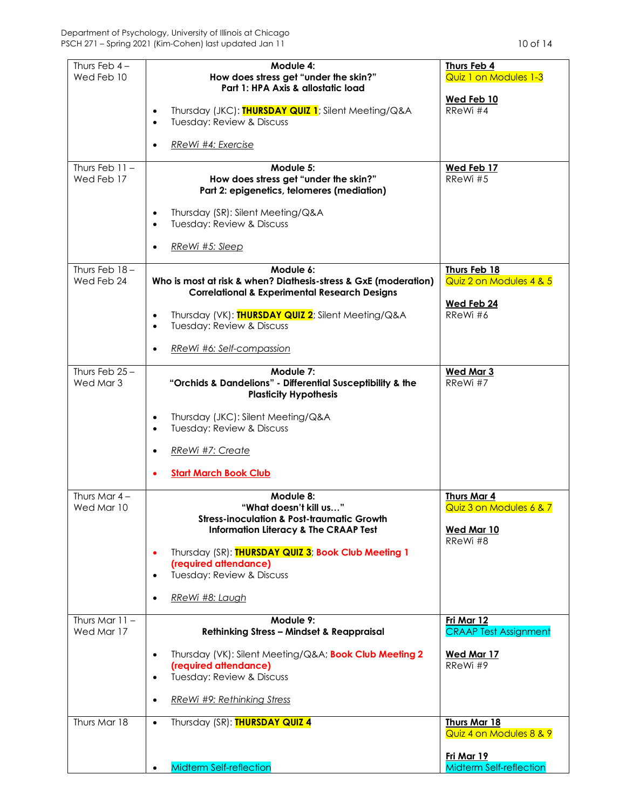| Thurs Feb $4-$<br>Wed Feb 10  | Module 4:<br>How does stress get "under the skin?"                                                                          | Thurs Feb 4<br><b>Quiz 1 on Modules 1-3</b>    |
|-------------------------------|-----------------------------------------------------------------------------------------------------------------------------|------------------------------------------------|
|                               | Part 1: HPA Axis & allostatic load                                                                                          |                                                |
|                               | Thursday (JKC): THURSDAY QUIZ 1; Silent Meeting/Q&A<br>$\bullet$<br><b>Tuesday: Review &amp; Discuss</b><br>$\bullet$       | Wed Feb 10<br>RReWi #4                         |
|                               | RReWi #4: Exercise                                                                                                          |                                                |
| Thurs Feb $11 -$              | Module 5:                                                                                                                   | Wed Feb 17                                     |
| Wed Feb 17                    | How does stress get "under the skin?"<br>Part 2: epigenetics, telomeres (mediation)                                         | RReWi#5                                        |
|                               | Thursday (SR): Silent Meeting/Q&A<br>Tuesday: Review & Discuss<br>$\bullet$                                                 |                                                |
|                               | RReWi #5: Sleep                                                                                                             |                                                |
| Thurs Feb $18 -$              | Module 6:                                                                                                                   | Thurs Feb 18                                   |
| Wed Feb 24                    | Who is most at risk & when? Diathesis-stress & GxE (moderation)<br><b>Correlational &amp; Experimental Research Designs</b> | Quiz 2 on Modules 4 & 5                        |
|                               |                                                                                                                             | Wed Feb 24                                     |
|                               | Thursday (VK): THURSDAY QUIZ 2; Silent Meeting/Q&A<br>$\bullet$<br><b>Tuesday: Review &amp; Discuss</b><br>$\bullet$        | RReWi#6                                        |
|                               | RReWi #6: Self-compassion                                                                                                   |                                                |
| Thurs Feb $25 -$<br>Wed Mar 3 | Module 7:<br>"Orchids & Dandelions" - Differential Susceptibility & the<br><b>Plasticity Hypothesis</b>                     | <b>Wed Mar 3</b><br>RReWi #7                   |
|                               | Thursday (JKC): Silent Meeting/Q&A<br>$\bullet$<br>Tuesday: Review & Discuss<br>$\bullet$                                   |                                                |
|                               | RReWi #7: Create                                                                                                            |                                                |
|                               | <b>Start March Book Club</b>                                                                                                |                                                |
| Thurs Mar $4-$                | Module 8:                                                                                                                   | <b>Thurs Mar 4</b>                             |
| Wed Mar 10                    | "What doesn't kill us"<br><b>Stress-inoculation &amp; Post-traumatic Growth</b>                                             | Quiz 3 on Modules 6 & 7                        |
|                               | <b>Information Literacy &amp; The CRAAP Test</b>                                                                            | <b>Wed Mar 10</b><br>RReWi #8                  |
|                               | Thursday (SR): THURSDAY QUIZ 3; Book Club Meeting 1<br>$\bullet$                                                            |                                                |
|                               | (required attendance)<br>Tuesday: Review & Discuss                                                                          |                                                |
|                               | $\bullet$                                                                                                                   |                                                |
|                               | RReWi #8: Laugh                                                                                                             |                                                |
| Thurs Mar $11 -$              | Module 9:                                                                                                                   | Fri Mar 12                                     |
| Wed Mar 17                    | <b>Rethinking Stress - Mindset &amp; Reappraisal</b>                                                                        | <b>CRAAP Test Assignment</b>                   |
|                               | Thursday (VK): Silent Meeting/Q&A Book Club Meeting 2<br>٠                                                                  | Wed Mar 17                                     |
|                               | (required attendance)<br>Tuesday: Review & Discuss<br>$\bullet$                                                             | RReWi #9                                       |
|                               | RReWi #9: Rethinking Stress<br>$\bullet$                                                                                    |                                                |
| Thurs Mar 18                  | Thursday (SR): THURSDAY QUIZ 4<br>$\bullet$                                                                                 | <b>Thurs Mar 18</b><br>Quiz 4 on Modules 8 & 9 |
|                               | <b>Midterm Self-reflection</b>                                                                                              | Fri Mar 19<br><b>Midterm Self-reflection</b>   |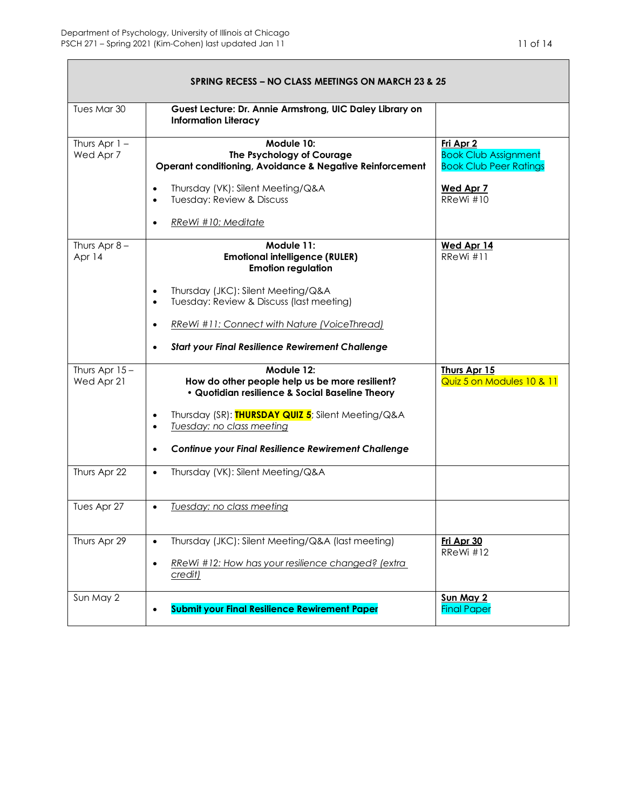| <b>SPRING RECESS – NO CLASS MEETINGS ON MARCH 23 &amp; 25</b> |                                                                                                                 |                                                                           |
|---------------------------------------------------------------|-----------------------------------------------------------------------------------------------------------------|---------------------------------------------------------------------------|
| Tues Mar 30                                                   | Guest Lecture: Dr. Annie Armstrong, UIC Daley Library on<br><b>Information Literacy</b>                         |                                                                           |
| Thurs Apr $1 -$<br>Wed Apr 7                                  | Module 10:<br>The Psychology of Courage<br>Operant conditioning, Avoidance & Negative Reinforcement             | Fri Apr 2<br><b>Book Club Assignment</b><br><b>Book Club Peer Ratings</b> |
|                                                               | Thursday (VK): Silent Meeting/Q&A<br>Tuesday: Review & Discuss<br>$\bullet$                                     | <b>Wed Apr 7</b><br>RReWi #10                                             |
|                                                               | RReWi #10: Meditate                                                                                             |                                                                           |
| Thurs Apr $8-$<br>Apr 14                                      | Module 11:<br><b>Emotional intelligence (RULER)</b><br><b>Emotion regulation</b>                                | Wed Apr 14<br>RReWi#11                                                    |
|                                                               | Thursday (JKC): Silent Meeting/Q&A<br>٠<br>Tuesday: Review & Discuss (last meeting)                             |                                                                           |
|                                                               | RReWi #11: Connect with Nature (VoiceThread)                                                                    |                                                                           |
|                                                               | <b>Start your Final Resilience Rewirement Challenge</b>                                                         |                                                                           |
| Thurs Apr $15-$<br>Wed Apr 21                                 | Module 12:<br>How do other people help us be more resilient?<br>· Quotidian resilience & Social Baseline Theory | Thurs Apr 15<br>Quiz 5 on Modules 10 & 11                                 |
|                                                               | Thursday (SR): THURSDAY QUIZ 5; Silent Meeting/Q&A<br>$\bullet$<br>Tuesday: no class meeting<br>٠               |                                                                           |
|                                                               | Continue your Final Resilience Rewirement Challenge                                                             |                                                                           |
| Thurs Apr 22                                                  | Thursday (VK): Silent Meeting/Q&A<br>$\bullet$                                                                  |                                                                           |
| Tues Apr 27                                                   | Tuesday: no class meeting<br>$\bullet$                                                                          |                                                                           |
| Thurs Apr 29                                                  | Thursday (JKC): Silent Meeting/Q&A (last meeting)<br>$\bullet$                                                  | Fri Apr 30<br>RReWi #12                                                   |
|                                                               | RReWi #12: How has your resilience changed? (extra<br>٠<br>credit)                                              |                                                                           |
| Sun May 2                                                     | <b>Submit your Final Resilience Rewirement Paper</b>                                                            | Sun May 2<br><b>Final Paper</b>                                           |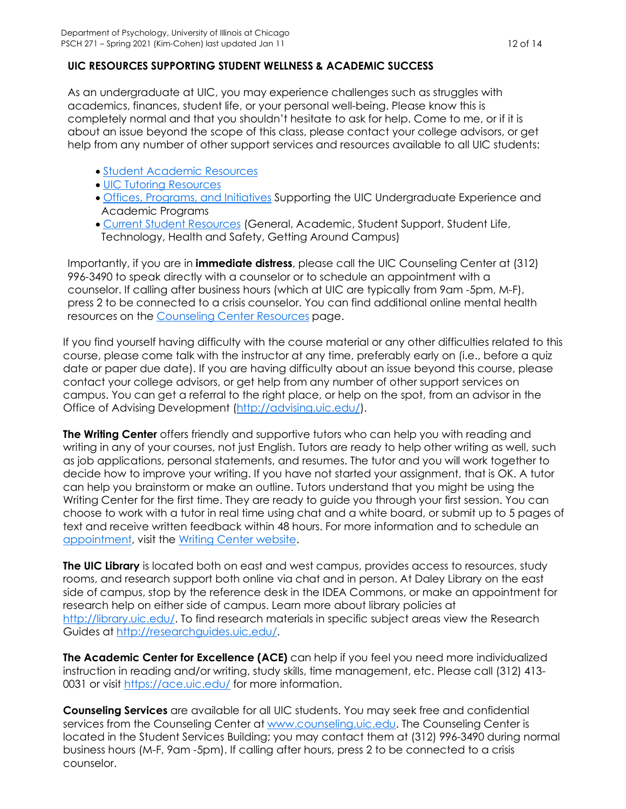# **UIC RESOURCES SUPPORTING STUDENT WELLNESS & ACADEMIC SUCCESS**

As an undergraduate at UIC, you may experience challenges such as struggles with academics, finances, student life, or your personal well-being. Please know this is completely normal and that you shouldn't hesitate to ask for help. Come to me, or if it is about an issue beyond the scope of this class, please contact your college advisors, or get help from any number of other support services and resources available to all UIC students:

- Student Academic Resources
- UIC Tutoring Resources
- Offices, Programs, and Initiatives Supporting the UIC Undergraduate Experience and Academic Programs
- Current Student Resources (General, Academic, Student Support, Student Life, Technology, Health and Safety, Getting Around Campus)

Importantly, if you are in **immediate distress**, please call the UIC Counseling Center at (312) 996-3490 to speak directly with a counselor or to schedule an appointment with a counselor. If calling after business hours (which at UIC are typically from 9am -5pm, M-F), press 2 to be connected to a crisis counselor. You can find additional online mental health resources on the Counseling Center Resources page.

If you find yourself having difficulty with the course material or any other difficulties related to this course, please come talk with the instructor at any time, preferably early on (i.e., before a quiz date or paper due date). If you are having difficulty about an issue beyond this course, please contact your college advisors, or get help from any number of other support services on campus. You can get a referral to the right place, or help on the spot, from an advisor in the Office of Advising Development (http://advising.uic.edu/).

**The Writing Center** offers friendly and supportive tutors who can help you with reading and writing in any of your courses, not just English. Tutors are ready to help other writing as well, such as job applications, personal statements, and resumes. The tutor and you will work together to decide how to improve your writing. If you have not started your assignment, that is OK. A tutor can help you brainstorm or make an outline. Tutors understand that you might be using the Writing Center for the first time. They are ready to guide you through your first session. You can choose to work with a tutor in real time using chat and a white board, or submit up to 5 pages of text and receive written feedback within 48 hours. For more information and to schedule an appointment, visit the Writing Center website.

**The UIC Library** is located both on east and west campus, provides access to resources, study rooms, and research support both online via chat and in person. At Daley Library on the east side of campus, stop by the reference desk in the IDEA Commons, or make an appointment for research help on either side of campus. Learn more about library policies at http://library.uic.edu/. To find research materials in specific subject areas view the Research Guides at http://researchguides.uic.edu/.

**The Academic Center for Excellence (ACE)** can help if you feel you need more individualized instruction in reading and/or writing, study skills, time management, etc. Please call (312) 413- 0031 or visit https://ace.uic.edu/ for more information.

**Counseling Services** are available for all UIC students. You may seek free and confidential services from the Counseling Center at www.counseling.uic.edu. The Counseling Center is located in the Student Services Building; you may contact them at (312) 996-3490 during normal business hours (M-F, 9am -5pm). If calling after hours, press 2 to be connected to a crisis counselor.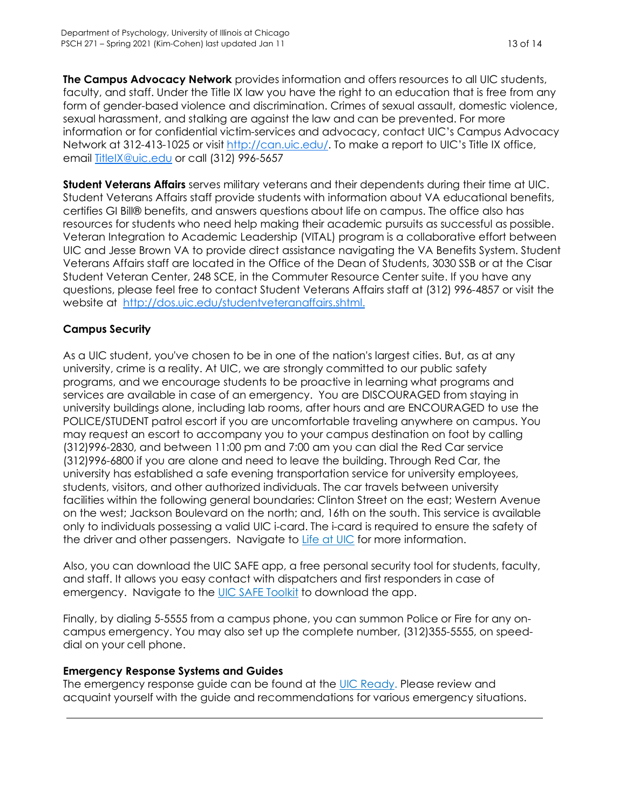**The Campus Advocacy Network** provides information and offers resources to all UIC students, faculty, and staff. Under the Title IX law you have the right to an education that is free from any form of gender-based violence and discrimination. Crimes of sexual assault, domestic violence, sexual harassment, and stalking are against the law and can be prevented. For more information or for confidential victim-services and advocacy, contact UIC's Campus Advocacy Network at 312-413-1025 or visit http://can.uic.edu/. To make a report to UIC's Title IX office, email TitleIX@uic.edu or call (312) 996-5657

**Student Veterans Affairs** serves military veterans and their dependents during their time at UIC. Student Veterans Affairs staff provide students with information about VA educational benefits, certifies GI Bill® benefits, and answers questions about life on campus. The office also has resources for students who need help making their academic pursuits as successful as possible. Veteran Integration to Academic Leadership (VITAL) program is a collaborative effort between UIC and Jesse Brown VA to provide direct assistance navigating the VA Benefits System. Student Veterans Affairs staff are located in the Office of the Dean of Students, 3030 SSB or at the Cisar Student Veteran Center, 248 SCE, in the Commuter Resource Center suite. If you have any questions, please feel free to contact Student Veterans Affairs staff at (312) 996-4857 or visit the website at http://dos.uic.edu/studentveteranaffairs.shtml.

# **Campus Security**

As a UIC student, you've chosen to be in one of the nation's largest cities. But, as at any university, crime is a reality. At UIC, we are strongly committed to our public safety programs, and we encourage students to be proactive in learning what programs and services are available in case of an emergency. You are DISCOURAGED from staying in university buildings alone, including lab rooms, after hours and are ENCOURAGED to use the POLICE/STUDENT patrol escort if you are uncomfortable traveling anywhere on campus. You may request an escort to accompany you to your campus destination on foot by calling (312)996-2830, and between 11:00 pm and 7:00 am you can dial the Red Car service (312)996-6800 if you are alone and need to leave the building. Through Red Car, the university has established a safe evening transportation service for university employees, students, visitors, and other authorized individuals. The car travels between university facilities within the following general boundaries: Clinton Street on the east; Western Avenue on the west; Jackson Boulevard on the north; and, 16th on the south. This service is available only to individuals possessing a valid UIC i-card. The i-card is required to ensure the safety of the driver and other passengers. Navigate to Life at UIC for more information.

Also, you can download the UIC SAFE app, a free personal security tool for students, faculty, and staff. It allows you easy contact with dispatchers and first responders in case of emergency. Navigate to the UIC SAFE Toolkit to download the app.

Finally, by dialing 5-5555 from a campus phone, you can summon Police or Fire for any oncampus emergency. You may also set up the complete number, (312)355-5555, on speeddial on your cell phone.

# **Emergency Response Systems and Guides**

The emergency response guide can be found at the UIC Ready. Please review and acquaint yourself with the guide and recommendations for various emergency situations.